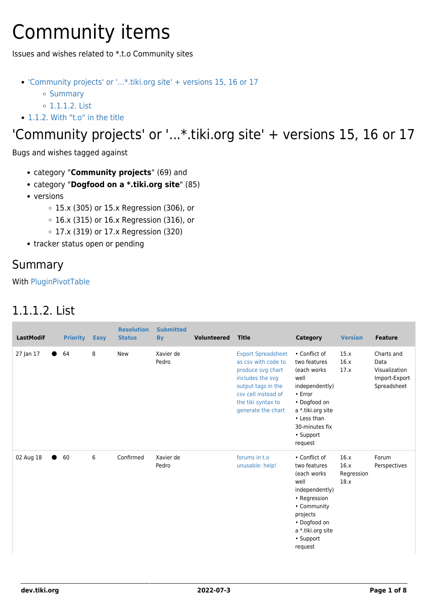# Community items

Issues and wishes related to \*.t.o Community sites

- ['Community projects' or '...\\*.tiki.org site' + versions 15, 16 or 17](#Community_projects_or_..._.tiki.org_site_versions_15_16_or_17)
	- o [Summary](#page--1-0)
	- [1.1.1.2. List](#page--1-0)
- [1.1.2. With "t.o" in the title](#With_t.o_in_the_title)

### 'Community projects' or '...\*.tiki.org site' + versions 15, 16 or 17

Bugs and wishes tagged against

- category "**Community projects**" (69) and
- category "**Dogfood on a \*.tiki.org site**" (85)
- versions
	- 15.x (305) or 15.x Regression (306), or
	- 16.x (315) or 16.x Regression (316), or
	- 17.x (319) or 17.x Regression (320)
- tracker status open or pending

#### Summary

With [PluginPivotTable](http://doc.tiki.org/PluginPivotTable)

#### 1.1.1.2. List

| <b>LastModif</b> |           | <b>Priority</b> | <b>Easy</b> | <b>Resolution</b><br><b>Status</b> | <b>Submitted</b><br><b>By</b> | <b>Volunteered</b> | <b>Title</b>                                                                                                                                                                       | Category                                                                                                                                                                        | <b>Version</b>                     | <b>Feature</b>                                                      |
|------------------|-----------|-----------------|-------------|------------------------------------|-------------------------------|--------------------|------------------------------------------------------------------------------------------------------------------------------------------------------------------------------------|---------------------------------------------------------------------------------------------------------------------------------------------------------------------------------|------------------------------------|---------------------------------------------------------------------|
| 27 Jan 17        |           | 64              | 8           | <b>New</b>                         | Xavier de<br>Pedro            |                    | <b>Export Spreadsheet</b><br>as csy with code to<br>produce svg chart<br>includes the svg<br>output tags in the<br>csy cell instead of<br>the tiki syntax to<br>generate the chart | • Conflict of<br>two features<br>(each works<br>well<br>independently)<br>• Error<br>• Dogfood on<br>a *.tiki.org site<br>• Less than<br>30-minutes fix<br>• Support<br>request | 15.x<br>16.x<br>17.x               | Charts and<br>Data<br>Visualization<br>Import-Export<br>Spreadsheet |
| 02 Aug 18        | $\bullet$ | 60              | 6           | Confirmed                          | Xavier de<br>Pedro            |                    | forums in t.o<br>unusable: help!                                                                                                                                                   | • Conflict of<br>two features<br>(each works)<br>well<br>independently)<br>• Regression<br>• Community<br>projects<br>• Dogfood on<br>a *.tiki.org site<br>• Support<br>request | 16.x<br>16.x<br>Regression<br>18.x | Forum<br>Perspectives                                               |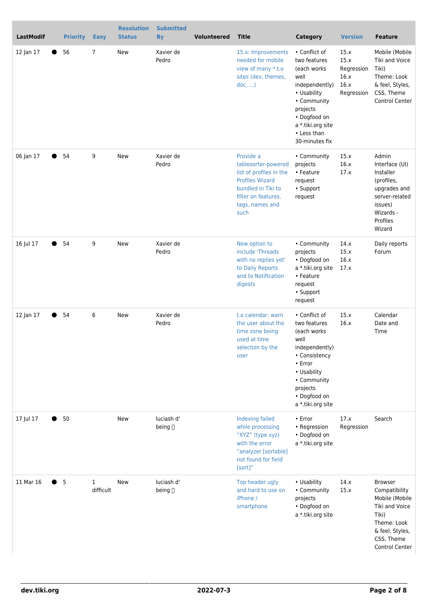| <b>LastModif</b> | <b>Priority</b> | <b>Easy</b>               | <b>Resolution</b><br><b>Status</b> | <b>Submitted</b><br><b>By</b> | <b>Volunteered</b> | <b>Title</b>                                                                                                                                                  | <b>Category</b>                                                                                                                                                                         | <b>Version</b>                                           | <b>Feature</b>                                                                                                                                 |
|------------------|-----------------|---------------------------|------------------------------------|-------------------------------|--------------------|---------------------------------------------------------------------------------------------------------------------------------------------------------------|-----------------------------------------------------------------------------------------------------------------------------------------------------------------------------------------|----------------------------------------------------------|------------------------------------------------------------------------------------------------------------------------------------------------|
| 12 Jan 17        | 56              | 7                         | <b>New</b>                         | Xavier de<br>Pedro            |                    | 15.x: Improvements<br>needed for mobile<br>view of many *.t.o<br>sites (dev, themes,<br>doc,                                                                  | • Conflict of<br>two features<br>(each works)<br>well<br>independently)<br>• Usability<br>• Community<br>projects<br>• Dogfood on<br>a *.tiki.org site<br>• Less than<br>30-minutes fix | 15.x<br>15.x<br>Regression<br>16.x<br>16.x<br>Regression | Mobile (Mobile<br>Tiki and Voice<br>Tiki)<br>Theme: Look<br>& feel, Styles,<br>CSS, Theme<br><b>Control Center</b>                             |
| 06 Jan 17        | 54              | 9                         | <b>New</b>                         | Xavier de<br>Pedro            |                    | Provide a<br>tablesorter-powered<br>list of profiles in the<br><b>Profiles Wizard</b><br>bundled in Tiki to<br>filter on features,<br>tags, names and<br>such | • Community<br>projects<br>• Feature<br>request<br>• Support<br>request                                                                                                                 | 15.x<br>16.x<br>17.x                                     | Admin<br>Interface (UI)<br>Installer<br>(profiles,<br>upgrades and<br>server-related<br>issues)<br>Wizards -<br>Profiles<br>Wizard             |
| 16 Jul 17        | 54              | 9                         | <b>New</b>                         | Xavier de<br>Pedro            |                    | New option to<br>include 'Threads<br>with no replies yet'<br>to Daily Reports<br>and to Notification<br>digests                                               | • Community<br>projects<br>• Dogfood on<br>a *.tiki.org site<br>• Feature<br>request<br>• Support<br>request                                                                            | 14.x<br>15.x<br>16.x<br>17.x                             | Daily reports<br>Forum                                                                                                                         |
| 12 Jan 17        | 54              | 6                         | New                                | Xavier de<br>Pedro            |                    | t.o calendar: warn<br>the user about the<br>time zone being<br>used at time<br>selection by the<br>user                                                       | • Conflict of<br>two features<br>(each works<br>well<br>independently)<br>• Consistency<br>• Error<br>• Usability<br>• Community<br>projects<br>• Dogfood on<br>a *.tiki.org site       | 15.x<br>16.x                                             | Calendar<br>Date and<br>Time                                                                                                                   |
| 17 Jul 17        | 50              |                           | <b>New</b>                         | luciash d'<br>being []        |                    | Indexing failed<br>while processing<br>"XYZ" (type xyz)<br>with the error<br>"analyzer [sortable]<br>not found for field<br>[sort]"                           | • Error<br>• Regression<br>• Dogfood on<br>a *.tiki.org site                                                                                                                            | 17.x<br>Regression                                       | Search                                                                                                                                         |
| 11 Mar 16        | 5               | $\mathbf{1}$<br>difficult | New                                | luciash d'<br>being []        |                    | Top header ugly<br>and hard to use on<br>iPhone /<br>smartphone                                                                                               | • Usability<br>• Community<br>projects<br>• Dogfood on<br>a *.tiki.org site                                                                                                             | 14.x<br>15.x                                             | <b>Browser</b><br>Compatibility<br>Mobile (Mobile<br>Tiki and Voice<br>Tiki)<br>Theme: Look<br>& feel, Styles,<br>CSS, Theme<br>Control Center |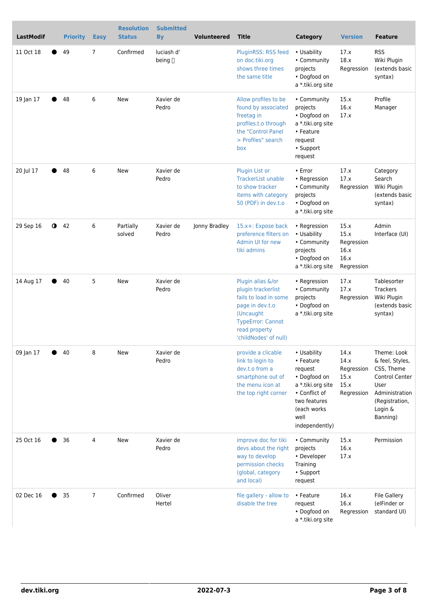| <b>LastModif</b> | <b>Priority</b> | <b>Easy</b>    | <b>Resolution</b><br><b>Status</b> | <b>Submitted</b><br>By     | <b>Volunteered</b> | <b>Title</b>                                                                                                                                                           | <b>Category</b>                                                                                                                                     | <b>Version</b>                                           | <b>Feature</b>                                                                                                                           |
|------------------|-----------------|----------------|------------------------------------|----------------------------|--------------------|------------------------------------------------------------------------------------------------------------------------------------------------------------------------|-----------------------------------------------------------------------------------------------------------------------------------------------------|----------------------------------------------------------|------------------------------------------------------------------------------------------------------------------------------------------|
| 11 Oct 18        | 49              | 7              | Confirmed                          | luciash d'<br>being $\Box$ |                    | PluginRSS: RSS feed<br>on doc.tiki.org<br>shows three times<br>the same title                                                                                          | • Usability<br>• Community<br>projects<br>• Dogfood on<br>a *.tiki.org site                                                                         | 17.x<br>18.x<br>Regression                               | <b>RSS</b><br>Wiki Plugin<br>(extends basic<br>syntax)                                                                                   |
| 19 Jan 17        | 48              | 6              | <b>New</b>                         | Xavier de<br>Pedro         |                    | Allow profiles to be<br>found by associated<br>freetag in<br>profiles.t.o through<br>the "Control Panel<br>> Profiles" search<br>box                                   | • Community<br>projects<br>• Dogfood on<br>a *.tiki.org site<br>• Feature<br>request<br>• Support<br>request                                        | 15.x<br>16.x<br>17.x                                     | Profile<br>Manager                                                                                                                       |
| 20 Jul 17        | 48              | 6              | <b>New</b>                         | Xavier de<br>Pedro         |                    | Plugin List or<br><b>TrackerList unable</b><br>to show tracker<br>items with category<br>50 (PDF) in dev.t.o                                                           | • Error<br>• Regression<br>• Community<br>projects<br>• Dogfood on<br>a *.tiki.org site                                                             | 17.x<br>17.x<br>Regression                               | Category<br>Search<br>Wiki Plugin<br>(extends basic<br>syntax)                                                                           |
| 29 Sep 16        | $Q$ 42          | 6              | Partially<br>solved                | Xavier de<br>Pedro         | Jonny Bradley      | 15.x+: Expose back<br>preference filters on<br>Admin UI for new<br>tiki admins                                                                                         | • Regression<br>• Usability<br>• Community<br>projects<br>• Dogfood on<br>a *.tiki.org site                                                         | 15.x<br>15.x<br>Regression<br>16.x<br>16.x<br>Regression | Admin<br>Interface (UI)                                                                                                                  |
| 14 Aug 17        | 40              | 5              | <b>New</b>                         | Xavier de<br>Pedro         |                    | Plugin alias &/or<br>plugin trackerlist<br>fails to load in some<br>page in dev.t.o<br>(Uncaught<br><b>TypeError: Cannot</b><br>read property<br>'childNodes' of null) | • Regression<br>• Community<br>projects<br>• Dogfood on<br>a *.tiki.org site                                                                        | 17.x<br>17.x<br>Regression                               | Tablesorter<br>Trackers<br>Wiki Plugin<br>(extends basic<br>syntax)                                                                      |
| 09 Jan 17        | 40              | 8              | <b>New</b>                         | Xavier de<br>Pedro         |                    | provide a clicable<br>link to login to<br>dev.t.o from a<br>smartphone out of<br>the menu icon at<br>the top right corner                                              | • Usability<br>• Feature<br>request<br>• Dogfood on<br>a *.tiki.org site<br>• Conflict of<br>two features<br>(each works)<br>well<br>independently) | 14.x<br>14.x<br>Regression<br>15.x<br>15.x<br>Regression | Theme: Look<br>& feel, Styles,<br>CSS, Theme<br><b>Control Center</b><br>User<br>Administration<br>(Registration,<br>Login &<br>Banning) |
| 25 Oct 16        | 36              | 4              | New                                | Xavier de<br>Pedro         |                    | improve doc for tiki<br>devs about the right<br>way to develop<br>permission checks<br>(global, category<br>and local)                                                 | • Community<br>projects<br>• Developer<br>Training<br>• Support<br>request                                                                          | 15.x<br>16.x<br>17.x                                     | Permission                                                                                                                               |
| 02 Dec 16        | 35              | $\overline{7}$ | Confirmed                          | Oliver<br>Hertel           |                    | file gallery - allow to<br>disable the tree                                                                                                                            | • Feature<br>request<br>• Dogfood on<br>a *.tiki.org site                                                                                           | 16.x<br>16.x<br>Regression                               | File Gallery<br>(elFinder or<br>standard UI)                                                                                             |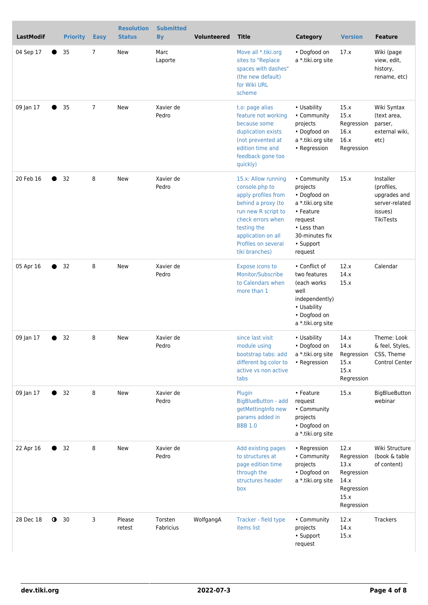| <b>LastModif</b>             | <b>Priority</b><br><b>Easy</b> | <b>Resolution</b><br><b>Status</b> | <b>Submitted</b><br><b>By</b> | <b>Volunteered</b> | <b>Title</b>                                                                                                                                                                                                 | <b>Category</b>                                                                                                                               | <b>Version</b>                                                                       | <b>Feature</b>                                                                    |
|------------------------------|--------------------------------|------------------------------------|-------------------------------|--------------------|--------------------------------------------------------------------------------------------------------------------------------------------------------------------------------------------------------------|-----------------------------------------------------------------------------------------------------------------------------------------------|--------------------------------------------------------------------------------------|-----------------------------------------------------------------------------------|
| 04 Sep 17<br>35              | 7                              | New                                | Marc<br>Laporte               |                    | Move all *.tiki.org<br>sites to "Replace<br>spaces with dashes"<br>(the new default)<br>for Wiki URL<br>scheme                                                                                               | • Dogfood on<br>a *.tiki.org site                                                                                                             | 17.x                                                                                 | Wiki (page<br>view, edit,<br>history,<br>rename, etc)                             |
| 09 Jan 17<br>35              | $\overline{7}$                 | New                                | Xavier de<br>Pedro            |                    | t.o: page alias<br>feature not working<br>because some<br>duplication exists<br>(not prevented at<br>edition time and<br>feedback gone too<br>quickly)                                                       | • Usability<br>• Community<br>projects<br>• Dogfood on<br>a *.tiki.org site<br>• Regression                                                   | 15.x<br>15.x<br>Regression<br>16.x<br>16.x<br>Regression                             | Wiki Syntax<br>(text area,<br>parser,<br>external wiki,<br>etc)                   |
| 20 Feb 16<br>32              | 8                              | New                                | Xavier de<br>Pedro            |                    | 15.x: Allow running<br>console.php to<br>apply profiles from<br>behind a proxy (to<br>run new R script to<br>check errors when<br>testing the<br>application on all<br>Profiles on several<br>tiki branches) | • Community<br>projects<br>• Dogfood on<br>a *.tiki.org site<br>• Feature<br>request<br>• Less than<br>30-minutes fix<br>• Support<br>request | 15.x                                                                                 | Installer<br>(profiles,<br>upgrades and<br>server-related<br>issues)<br>TikiTests |
| 05 Apr 16<br>32              | 8                              | New                                | Xavier de<br>Pedro            |                    | Expose icons to<br>Monitor/Subscribe<br>to Calendars when<br>more than 1                                                                                                                                     | • Conflict of<br>two features<br>(each works<br>well<br>independently)<br>• Usability<br>• Dogfood on<br>a *.tiki.org site                    | 12.x<br>14.x<br>15.x                                                                 | Calendar                                                                          |
| 09 Jan 17<br>32              | 8                              | New                                | Xavier de<br>Pedro            |                    | since last visit<br>module using<br>bootstrap tabs: add<br>different bg color to<br>active vs non active<br>tabs                                                                                             | • Usability<br>· Dogfood on<br>a *.tiki.org site<br>• Regression                                                                              | 14.x<br>14.x<br>Regression<br>15.x<br>15.x<br>Regression                             | Theme: Look<br>& feel, Styles,<br>CSS, Theme<br>Control Center                    |
| 09 Jan 17<br>32              | 8                              | <b>New</b>                         | Xavier de<br>Pedro            |                    | Plugin<br><b>BigBlueButton - add</b><br>getMettingInfo new<br>params added in<br><b>BBB 1.0</b>                                                                                                              | • Feature<br>request<br>• Community<br>projects<br>• Dogfood on<br>a *.tiki.org site                                                          | 15.x                                                                                 | <b>BigBlueButton</b><br>webinar                                                   |
| 22 Apr 16<br>32              | 8                              | New                                | Xavier de<br>Pedro            |                    | Add existing pages<br>to structures at<br>page edition time<br>through the<br>structures header<br>box                                                                                                       | • Regression<br>• Community<br>projects<br>• Dogfood on<br>a *.tiki.org site                                                                  | 12.x<br>Regression<br>13.x<br>Regression<br>14.x<br>Regression<br>15.x<br>Regression | Wiki Structure<br>(book & table<br>of content)                                    |
| 28 Dec 18<br>$\bullet$<br>30 | 3                              | Please<br>retest                   | Torsten<br>Fabricius          | WolfgangA          | Tracker - field type<br>items list                                                                                                                                                                           | • Community<br>projects<br>• Support<br>request                                                                                               | 12.x<br>14.x<br>15.x                                                                 | Trackers                                                                          |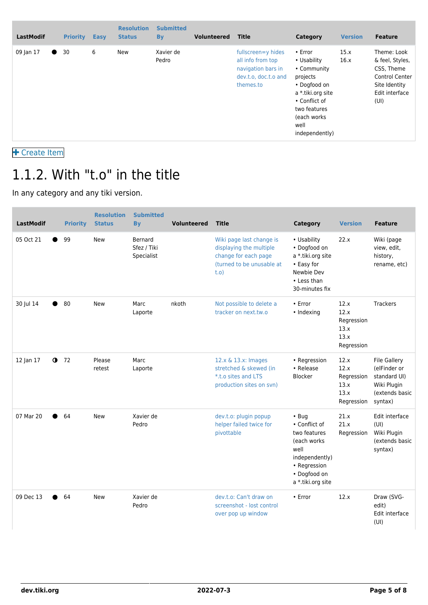| <b>LastModif</b> |           | <b>Priority</b> | <b>Easy</b> | <b>Resolution</b><br><b>Status</b> | <b>Submitted</b><br><b>By</b> | <b>Volunteered</b> | <b>Title</b>                                                                                       | Category                                                                                                                                                                | <b>Version</b> | <b>Feature</b>                                                                                                   |
|------------------|-----------|-----------------|-------------|------------------------------------|-------------------------------|--------------------|----------------------------------------------------------------------------------------------------|-------------------------------------------------------------------------------------------------------------------------------------------------------------------------|----------------|------------------------------------------------------------------------------------------------------------------|
| 09 Jan 17        | $\bullet$ | 30              | 6           | New                                | Xavier de<br>Pedro            |                    | fullscreen=y hides<br>all info from top<br>navigation bars in<br>dev.t.o. doc.t.o and<br>themes.to | $\cdot$ Error<br>• Usability<br>• Community<br>projects<br>• Dogfood on<br>a *.tiki.org site<br>• Conflict of<br>two features<br>(each works)<br>well<br>independently) | 15.x<br>16.x   | Theme: Look<br>& feel, Styles,<br>CSS, Theme<br><b>Control Center</b><br>Site Identity<br>Edit interface<br>(UI) |

 [Create Item](https://dev.tiki.org/Make+a+wish)

## 1.1.2. With "t.o" in the title

In any category and any tiki version.

| <b>LastModif</b> |             | <b>Priority</b> | <b>Resolution</b><br><b>Status</b> | <b>Submitted</b><br><b>B</b> <sub>V</sub> | <b>Volunteered</b> | <b>Title</b>                                                                                                     | Category                                                                                                                                   | <b>Version</b>                                           | <b>Feature</b>                                                                                  |
|------------------|-------------|-----------------|------------------------------------|-------------------------------------------|--------------------|------------------------------------------------------------------------------------------------------------------|--------------------------------------------------------------------------------------------------------------------------------------------|----------------------------------------------------------|-------------------------------------------------------------------------------------------------|
| 05 Oct 21        |             | 99              | <b>New</b>                         | Bernard<br>Sfez / Tiki<br>Specialist      |                    | Wiki page last change is<br>displaying the multiple<br>change for each page<br>(turned to be unusable at<br>t.o) | • Usability<br>• Dogfood on<br>a *.tiki.org site<br>• Easy for<br>Newbie Dev<br>• Less than<br>30-minutes fix                              | 22.x                                                     | Wiki (page<br>view, edit,<br>history,<br>rename, etc)                                           |
| 30 Jul 14        |             | 80              | <b>New</b>                         | Marc<br>Laporte                           | nkoth              | Not possible to delete a<br>tracker on next.tw.o                                                                 | • Error<br>• Indexing                                                                                                                      | 12.x<br>12.x<br>Regression<br>13.x<br>13.x<br>Regression | Trackers                                                                                        |
| 12 Jan 17        | $\mathbf 0$ | 72              | Please<br>retest                   | Marc<br>Laporte                           |                    | 12.x & 13.x: Images<br>stretched & skewed (in<br>*.t.o sites and LTS<br>production sites on svn)                 | • Regression<br>• Release<br>Blocker                                                                                                       | 12.x<br>12.x<br>Regression<br>13.x<br>13.x<br>Regression | <b>File Gallery</b><br>(elFinder or<br>standard UI)<br>Wiki Plugin<br>(extends basic<br>syntax) |
| 07 Mar 20        |             | 64              | <b>New</b>                         | Xavier de<br>Pedro                        |                    | dev.t.o: plugin popup<br>helper failed twice for<br>pivottable                                                   | $\cdot$ Bug<br>• Conflict of<br>two features<br>(each works<br>well<br>independently)<br>• Regression<br>· Dogfood on<br>a *.tiki.org site | 21.x<br>21.x<br>Regression                               | Edit interface<br>(UI)<br>Wiki Plugin<br>(extends basic<br>syntax)                              |
| 09 Dec 13        |             | 64              | <b>New</b>                         | Xavier de<br>Pedro                        |                    | dev.t.o: Can't draw on<br>screenshot - lost control<br>over pop up window                                        | • Error                                                                                                                                    | 12.x                                                     | Draw (SVG-<br>edit)<br>Edit interface<br>(UI)                                                   |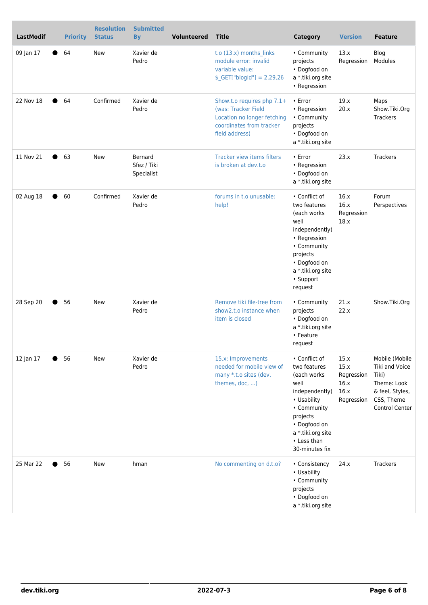| <b>LastModif</b> | <b>Priority</b> | <b>Resolution</b><br><b>Status</b> | <b>Submitted</b><br><b>By</b>        | <b>Volunteered</b> | <b>Title</b>                                                                                                                    | <b>Category</b>                                                                                                                                                                         | <b>Version</b>                                           | <b>Feature</b>                                                                                              |
|------------------|-----------------|------------------------------------|--------------------------------------|--------------------|---------------------------------------------------------------------------------------------------------------------------------|-----------------------------------------------------------------------------------------------------------------------------------------------------------------------------------------|----------------------------------------------------------|-------------------------------------------------------------------------------------------------------------|
| 09 Jan 17        | 64              | New                                | Xavier de<br>Pedro                   |                    | t.o (13.x) months_links<br>module error: invalid<br>variable value:<br>$$$ <sub>-</sub> GET["blogId"] = 2,29,26                 | • Community<br>projects<br>• Dogfood on<br>a *.tiki.org site<br>• Regression                                                                                                            | 13.x<br>Regression                                       | Blog<br>Modules                                                                                             |
| 22 Nov 18        | 64              | Confirmed                          | Xavier de<br>Pedro                   |                    | Show.t.o requires php 7.1+<br>(was: Tracker Field)<br>Location no longer fetching<br>coordinates from tracker<br>field address) | • Error<br>• Regression<br>• Community<br>projects<br>• Dogfood on<br>a *.tiki.org site                                                                                                 | 19.x<br>20.x                                             | Maps<br>Show.Tiki.Org<br>Trackers                                                                           |
| 11 Nov 21        | 63              | <b>New</b>                         | Bernard<br>Sfez / Tiki<br>Specialist |                    | Tracker view items filters<br>is broken at dev.t.o                                                                              | • Error<br>• Regression<br>• Dogfood on<br>a *.tiki.org site                                                                                                                            | 23.x                                                     | Trackers                                                                                                    |
| 02 Aug 18        | 60              | Confirmed                          | Xavier de<br>Pedro                   |                    | forums in t.o unusable:<br>help!                                                                                                | • Conflict of<br>two features<br>(each works)<br>well<br>independently)<br>• Regression<br>• Community<br>projects<br>• Dogfood on<br>a *.tiki.org site<br>• Support<br>request         | 16.x<br>16.x<br>Regression<br>18.x                       | Forum<br>Perspectives                                                                                       |
| 28 Sep 20        | 56              | <b>New</b>                         | Xavier de<br>Pedro                   |                    | Remove tiki file-tree from<br>show2.t.o instance when<br>item is closed                                                         | • Community<br>projects<br>• Dogfood on<br>a *.tiki.org site<br>• Feature<br>request                                                                                                    | 21.x<br>22.x                                             | Show.Tiki.Org                                                                                               |
| 12 Jan 17        | 56              | New                                | Xavier de<br>Pedro                   |                    | 15.x: Improvements<br>needed for mobile view of<br>many *.t.o sites (dev,<br>themes, doc, )                                     | • Conflict of<br>two features<br>(each works)<br>well<br>independently)<br>• Usability<br>• Community<br>projects<br>• Dogfood on<br>a *.tiki.org site<br>• Less than<br>30-minutes fix | 15.x<br>15.x<br>Regression<br>16.x<br>16.x<br>Regression | Mobile (Mobile<br>Tiki and Voice<br>Tiki)<br>Theme: Look<br>& feel, Styles,<br>CSS, Theme<br>Control Center |
| 25 Mar 22        | 56              | New                                | hman                                 |                    | No commenting on d.t.o?                                                                                                         | • Consistency<br>• Usability<br>• Community<br>projects<br>• Dogfood on<br>a *.tiki.org site                                                                                            | 24.x                                                     | Trackers                                                                                                    |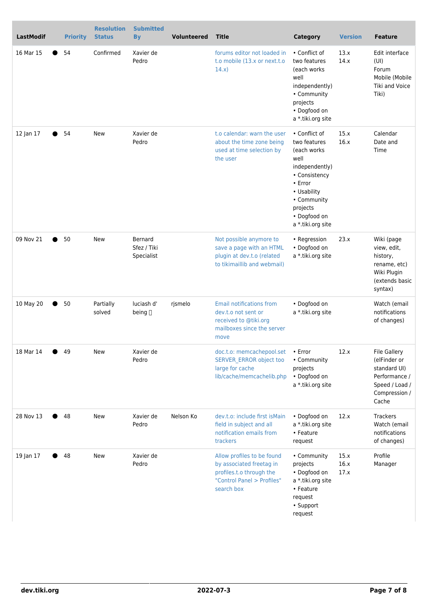| LastModif |   | <b>Priority</b> | <b>Resolution</b><br><b>Status</b> | <b>Submitted</b><br><b>By</b>        | <b>Volunteered</b> | <b>Title</b>                                                                                                                   | <b>Category</b>                                                                                                                                                                          | <b>Version</b>       | <b>Feature</b>                                                                                                   |
|-----------|---|-----------------|------------------------------------|--------------------------------------|--------------------|--------------------------------------------------------------------------------------------------------------------------------|------------------------------------------------------------------------------------------------------------------------------------------------------------------------------------------|----------------------|------------------------------------------------------------------------------------------------------------------|
| 16 Mar 15 |   | 54              | Confirmed                          | Xavier de<br>Pedro                   |                    | forums editor not loaded in<br>t.o mobile (13.x or next.t.o<br>14.x)                                                           | • Conflict of<br>two features<br>(each works)<br>well<br>independently)<br>• Community<br>projects<br>• Dogfood on<br>a *.tiki.org site                                                  | 13.x<br>14.x         | Edit interface<br>(UI)<br>Forum<br>Mobile (Mobile<br>Tiki and Voice<br>Tiki)                                     |
| 12 Jan 17 |   | 54              | <b>New</b>                         | Xavier de<br>Pedro                   |                    | t.o calendar: warn the user<br>about the time zone being<br>used at time selection by<br>the user                              | • Conflict of<br>two features<br>(each works)<br>well<br>independently)<br>• Consistency<br>$\cdot$ Error<br>• Usability<br>• Community<br>projects<br>• Dogfood on<br>a *.tiki.org site | 15.x<br>16.x         | Calendar<br>Date and<br>Time                                                                                     |
| 09 Nov 21 | ● | 50              | <b>New</b>                         | Bernard<br>Sfez / Tiki<br>Specialist |                    | Not possible anymore to<br>save a page with an HTML<br>plugin at dev.t.o (related<br>to tikimaillib and webmail)               | • Regression<br>• Dogfood on<br>a *.tiki.org site                                                                                                                                        | 23.x                 | Wiki (page<br>view, edit,<br>history,<br>rename, etc)<br>Wiki Plugin<br>(extends basic<br>syntax)                |
| 10 May 20 |   | 50              | Partially<br>solved                | luciash d'<br>being $\Box$           | rjsmelo            | <b>Email notifications from</b><br>dev.t.o not sent or<br>received to @tiki.org<br>mailboxes since the server<br>move          | • Dogfood on<br>a *.tiki.org site                                                                                                                                                        |                      | Watch (email<br>notifications<br>of changes)                                                                     |
| 18 Mar 14 |   | 49              | <b>New</b>                         | Xavier de<br>Pedro                   |                    | doc.t.o: memcachepool.set<br>SERVER_ERROR object too<br>large for cache<br>lib/cache/memcachelib.php                           | • Error<br>• Community<br>projects<br>• Dogfood on<br>a *.tiki.org site                                                                                                                  | 12.x                 | <b>File Gallery</b><br>(elFinder or<br>standard UI)<br>Performance /<br>Speed / Load /<br>Compression /<br>Cache |
| 28 Nov 13 |   | 48              | New                                | Xavier de<br>Pedro                   | Nelson Ko          | dev.t.o: include first is Main<br>field in subject and all<br>notification emails from<br>trackers                             | • Dogfood on<br>a *.tiki.org site<br>• Feature<br>request                                                                                                                                | 12.x                 | Trackers<br>Watch (email<br>notifications<br>of changes)                                                         |
| 19 Jan 17 |   | 48              | <b>New</b>                         | Xavier de<br>Pedro                   |                    | Allow profiles to be found<br>by associated freetag in<br>profiles.t.o through the<br>"Control Panel > Profiles"<br>search box | • Community<br>projects<br>• Dogfood on<br>a *.tiki.org site<br>• Feature<br>request<br>• Support<br>request                                                                             | 15.x<br>16.x<br>17.x | Profile<br>Manager                                                                                               |